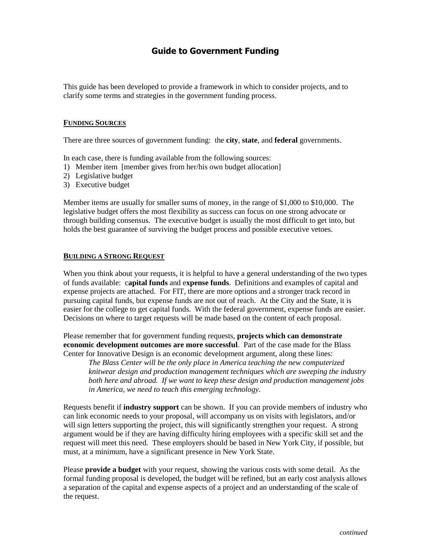## **Guide to Government Funding**

This guide has been developed to provide a framework in which to consider projects, and to clarify some terms and strategies in the government funding process.

#### **FUNDING SOURCES**

There are three sources of government funding: the **city**, **state**, and **federal** governments.

In each case, there is funding available from the following sources:

- 1) Member item [member gives from her/his own budget allocation]
- 2) Legislative budget
- 3) Executive budget

Member items are usually for smaller sums of money, in the range of \$1,000 to \$10,000. The legislative budget offers the most flexibility as success can focus on one strong advocate or through building consensus. The executive budget is usually the most difficult to get into, but holds the best guarantee of surviving the budget process and possible executive vetoes.

#### **BUILDING A STRONG REQUEST**

When you think about your requests, it is helpful to have a general understanding of the two types of funds available: c**apital funds** and e**xpense funds**. Definitions and examples of capital and expense projects are attached. For FIT, there are more options and a stronger track record in pursuing capital funds, but expense funds are not out of reach. At the City and the State, it is easier for the college to get capital funds. With the federal government, expense funds are easier. Decisions on where to target requests will be made based on the content of each proposal.

Please remember that for government funding requests, **projects which can demonstrate economic development outcomes are more successful**. Part of the case made for the Blass Center for Innovative Design is an economic development argument, along these lines:

*The Blass Center will be the only place in America teaching the new computerized knitwear design and production management techniques which are sweeping the industry both here and abroad. If we want to keep these design and production management jobs in America, we need to teach this emerging technology.*

Requests benefit if **industry support** can be shown. If you can provide members of industry who can link economic needs to your proposal, will accompany us on visits with legislators, and/or will sign letters supporting the project, this will significantly strengthen your request. A strong argument would be if they are having difficulty hiring employees with a specific skill set and the request will meet this need. These employers should be based in New York City, if possible, but must, at a minimum, have a significant presence in New York State.

Please **provide a budget** with your request, showing the various costs with some detail. As the formal funding proposal is developed, the budget will be refined, but an early cost analysis allows a separation of the capital and expense aspects of a project and an understanding of the scale of the request.